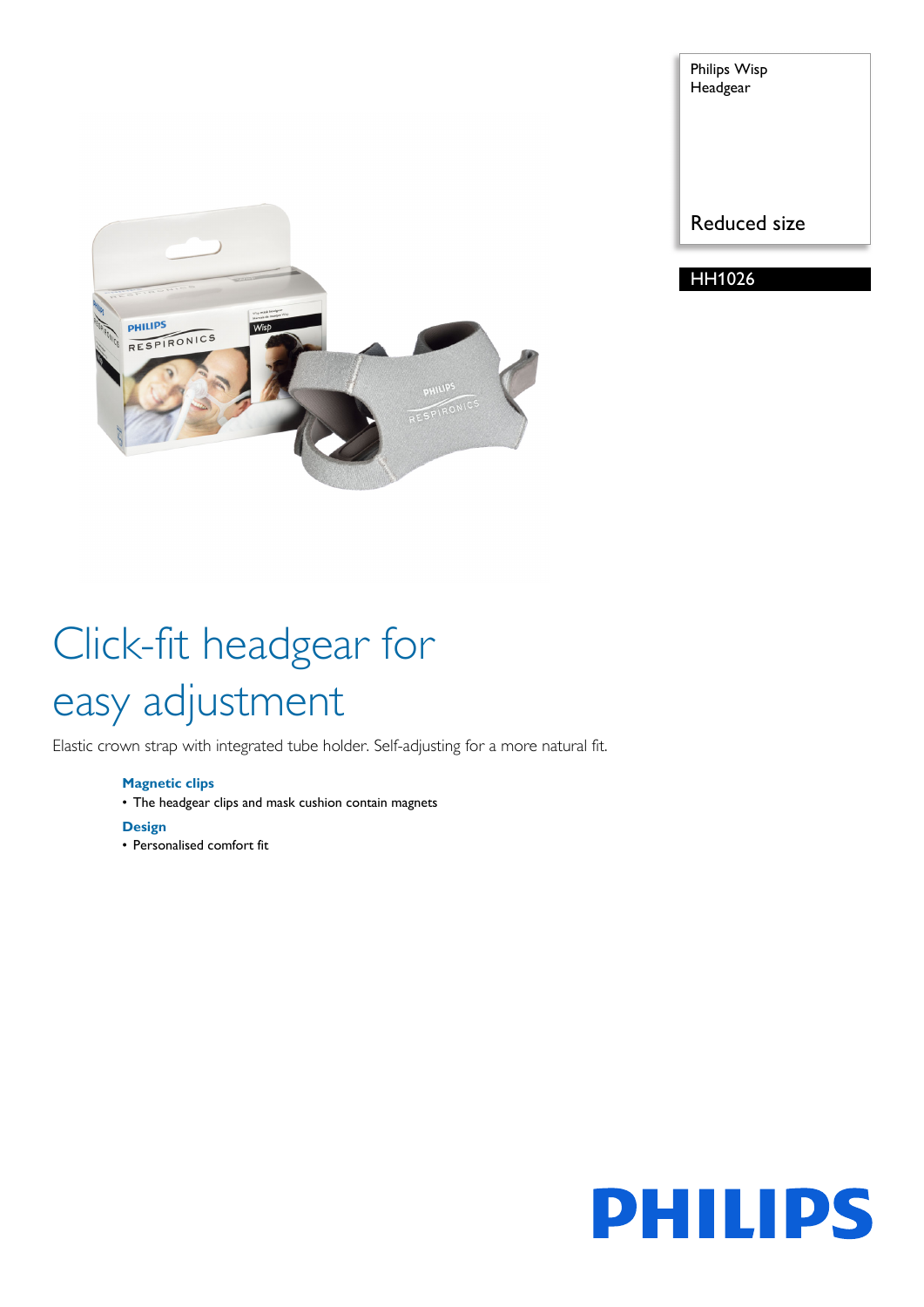

Philips Wisp Headgear

Reduced size

HH1026

# Click-fit headgear for easy adjustment

Elastic crown strap with integrated tube holder. Self-adjusting for a more natural fit.

### **Magnetic clips**

• The headgear clips and mask cushion contain magnets

#### **Design**

• Personalised comfort fit